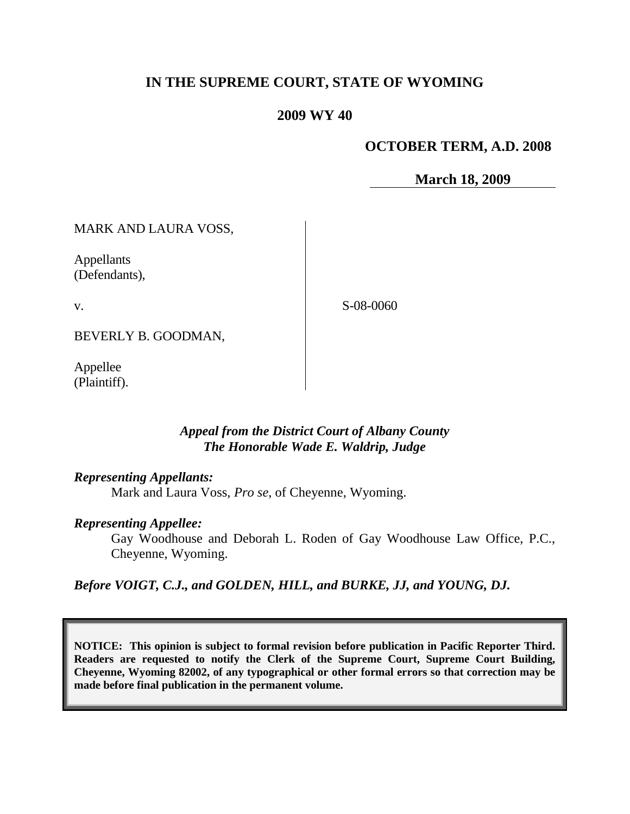# **IN THE SUPREME COURT, STATE OF WYOMING**

## **2009 WY 40**

## **OCTOBER TERM, A.D. 2008**

**March 18, 2009**

MARK AND LAURA VOSS,

Appellants (Defendants),

v.

S-08-0060

BEVERLY B. GOODMAN,

Appellee (Plaintiff).

# *Appeal from the District Court of Albany County The Honorable Wade E. Waldrip, Judge*

## *Representing Appellants:*

Mark and Laura Voss, *Pro se*, of Cheyenne, Wyoming.

## *Representing Appellee:*

Gay Woodhouse and Deborah L. Roden of Gay Woodhouse Law Office, P.C., Cheyenne, Wyoming.

*Before VOIGT, C.J., and GOLDEN, HILL, and BURKE, JJ, and YOUNG, DJ.*

**NOTICE: This opinion is subject to formal revision before publication in Pacific Reporter Third. Readers are requested to notify the Clerk of the Supreme Court, Supreme Court Building, Cheyenne, Wyoming 82002, of any typographical or other formal errors so that correction may be made before final publication in the permanent volume.**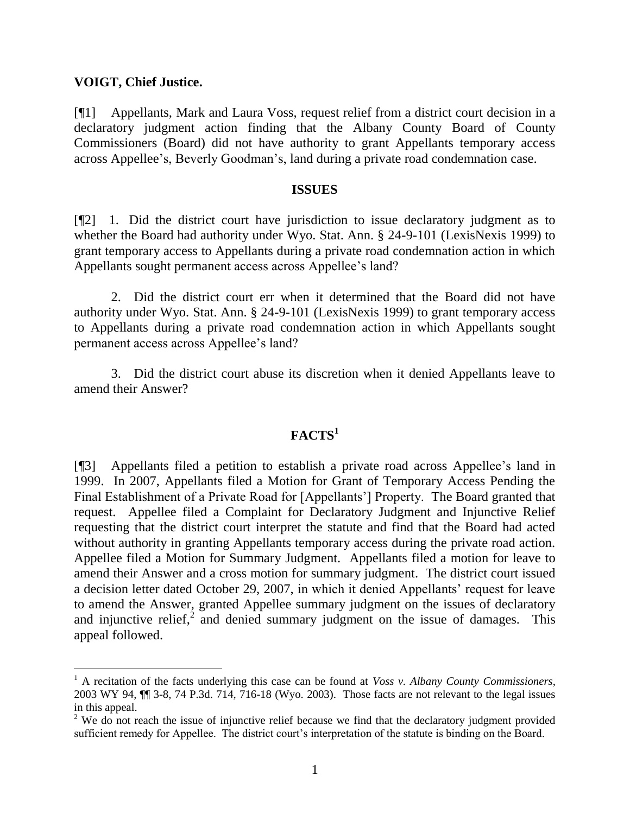## **VOIGT, Chief Justice.**

 $\overline{a}$ 

[¶1] Appellants, Mark and Laura Voss, request relief from a district court decision in a declaratory judgment action finding that the Albany County Board of County Commissioners (Board) did not have authority to grant Appellants temporary access across Appellee"s, Beverly Goodman"s, land during a private road condemnation case.

#### **ISSUES**

[¶2] 1. Did the district court have jurisdiction to issue declaratory judgment as to whether the Board had authority under Wyo. Stat. Ann. § 24-9-101 (LexisNexis 1999) to grant temporary access to Appellants during a private road condemnation action in which Appellants sought permanent access across Appellee's land?

2. Did the district court err when it determined that the Board did not have authority under Wyo. Stat. Ann. § 24-9-101 (LexisNexis 1999) to grant temporary access to Appellants during a private road condemnation action in which Appellants sought permanent access across Appellee"s land?

3. Did the district court abuse its discretion when it denied Appellants leave to amend their Answer?

# **FACTS<sup>1</sup>**

[¶3] Appellants filed a petition to establish a private road across Appellee"s land in 1999. In 2007, Appellants filed a Motion for Grant of Temporary Access Pending the Final Establishment of a Private Road for [Appellants"] Property. The Board granted that request. Appellee filed a Complaint for Declaratory Judgment and Injunctive Relief requesting that the district court interpret the statute and find that the Board had acted without authority in granting Appellants temporary access during the private road action. Appellee filed a Motion for Summary Judgment. Appellants filed a motion for leave to amend their Answer and a cross motion for summary judgment. The district court issued a decision letter dated October 29, 2007, in which it denied Appellants" request for leave to amend the Answer, granted Appellee summary judgment on the issues of declaratory and injunctive relief,<sup>2</sup> and denied summary judgment on the issue of damages. This appeal followed.

<sup>1</sup> A recitation of the facts underlying this case can be found at *Voss v. Albany County Commissioners*, 2003 WY 94, ¶¶ 3-8, 74 P.3d. 714, 716-18 (Wyo. 2003). Those facts are not relevant to the legal issues in this appeal.

<sup>&</sup>lt;sup>2</sup> We do not reach the issue of injunctive relief because we find that the declaratory judgment provided sufficient remedy for Appellee. The district court's interpretation of the statute is binding on the Board.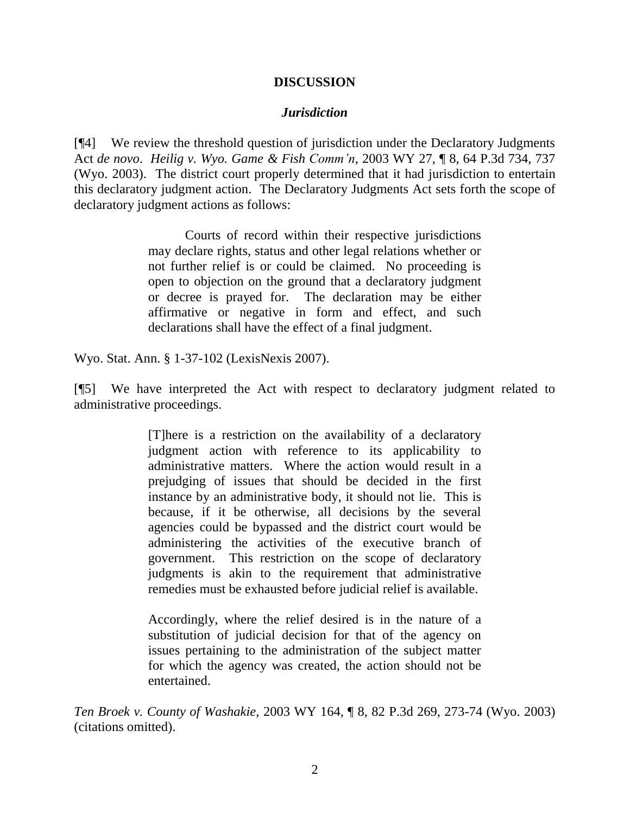## **DISCUSSION**

## *Jurisdiction*

[¶4] We review the threshold question of jurisdiction under the Declaratory Judgments Act *de novo*. *Heilig v. Wyo. Game & Fish Comm'n*, 2003 WY 27, ¶ 8, 64 P.3d 734, 737 (Wyo. 2003). The district court properly determined that it had jurisdiction to entertain this declaratory judgment action. The Declaratory Judgments Act sets forth the scope of declaratory judgment actions as follows:

> Courts of record within their respective jurisdictions may declare rights, status and other legal relations whether or not further relief is or could be claimed. No proceeding is open to objection on the ground that a declaratory judgment or decree is prayed for. The declaration may be either affirmative or negative in form and effect, and such declarations shall have the effect of a final judgment.

Wyo. Stat. Ann. § 1-37-102 (LexisNexis 2007).

[¶5] We have interpreted the Act with respect to declaratory judgment related to administrative proceedings.

> [T]here is a restriction on the availability of a declaratory judgment action with reference to its applicability to administrative matters. Where the action would result in a prejudging of issues that should be decided in the first instance by an administrative body, it should not lie. This is because, if it be otherwise, all decisions by the several agencies could be bypassed and the district court would be administering the activities of the executive branch of government. This restriction on the scope of declaratory judgments is akin to the requirement that administrative remedies must be exhausted before judicial relief is available.

> Accordingly, where the relief desired is in the nature of a substitution of judicial decision for that of the agency on issues pertaining to the administration of the subject matter for which the agency was created, the action should not be entertained.

*Ten Broek v. County of Washakie*, 2003 WY 164, ¶ 8, 82 P.3d 269, 273-74 (Wyo. 2003) (citations omitted).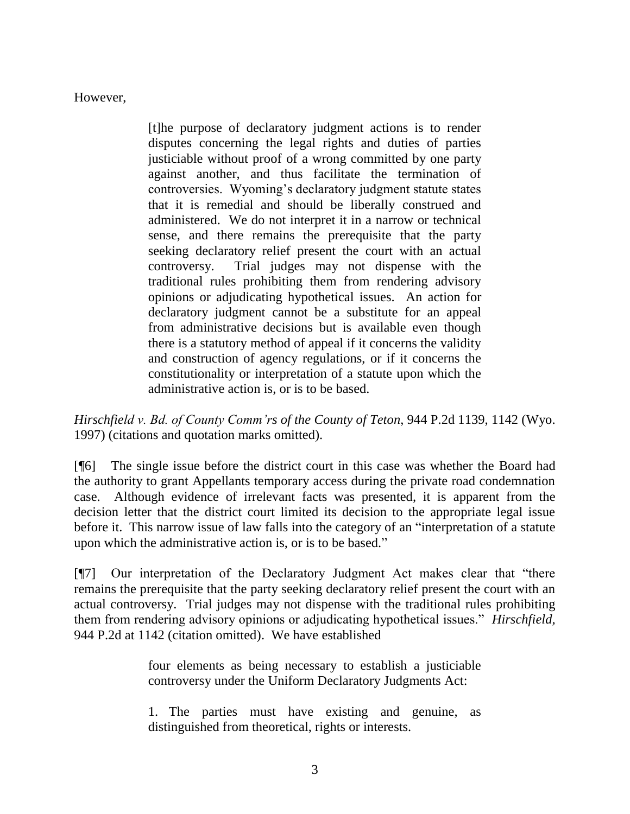However,

[t]he purpose of declaratory judgment actions is to render disputes concerning the legal rights and duties of parties justiciable without proof of a wrong committed by one party against another, and thus facilitate the termination of controversies. Wyoming"s declaratory judgment statute states that it is remedial and should be liberally construed and administered. We do not interpret it in a narrow or technical sense, and there remains the prerequisite that the party seeking declaratory relief present the court with an actual controversy. Trial judges may not dispense with the traditional rules prohibiting them from rendering advisory opinions or adjudicating hypothetical issues. An action for declaratory judgment cannot be a substitute for an appeal from administrative decisions but is available even though there is a statutory method of appeal if it concerns the validity and construction of agency regulations, or if it concerns the constitutionality or interpretation of a statute upon which the administrative action is, or is to be based.

*Hirschfield v. Bd. of County Comm'rs of the County of Teton*, 944 P.2d 1139, 1142 (Wyo. 1997) (citations and quotation marks omitted).

[¶6] The single issue before the district court in this case was whether the Board had the authority to grant Appellants temporary access during the private road condemnation case. Although evidence of irrelevant facts was presented, it is apparent from the decision letter that the district court limited its decision to the appropriate legal issue before it. This narrow issue of law falls into the category of an "interpretation of a statute upon which the administrative action is, or is to be based."

[¶7] Our interpretation of the Declaratory Judgment Act makes clear that "there remains the prerequisite that the party seeking declaratory relief present the court with an actual controversy. Trial judges may not dispense with the traditional rules prohibiting them from rendering advisory opinions or adjudicating hypothetical issues." *Hirschfield,*  944 P.2d at 1142 (citation omitted). We have established

> four elements as being necessary to establish a justiciable controversy under the Uniform Declaratory Judgments Act:

> 1. The parties must have existing and genuine, as distinguished from theoretical, rights or interests.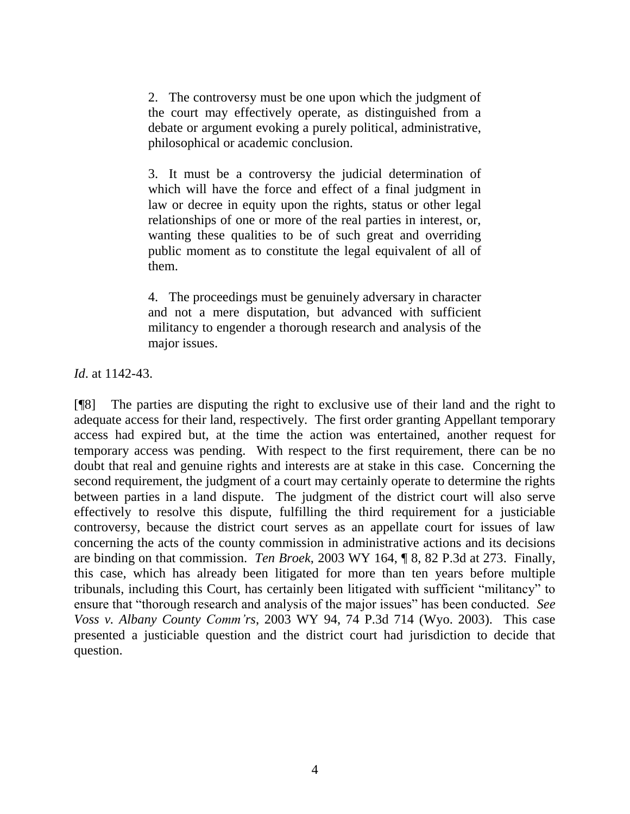2. The controversy must be one upon which the judgment of the court may effectively operate, as distinguished from a debate or argument evoking a purely political, administrative, philosophical or academic conclusion.

3. It must be a controversy the judicial determination of which will have the force and effect of a final judgment in law or decree in equity upon the rights, status or other legal relationships of one or more of the real parties in interest, or, wanting these qualities to be of such great and overriding public moment as to constitute the legal equivalent of all of them.

4. The proceedings must be genuinely adversary in character and not a mere disputation, but advanced with sufficient militancy to engender a thorough research and analysis of the major issues.

*Id*. at 1142-43.

[¶8] The parties are disputing the right to exclusive use of their land and the right to adequate access for their land, respectively. The first order granting Appellant temporary access had expired but, at the time the action was entertained, another request for temporary access was pending. With respect to the first requirement, there can be no doubt that real and genuine rights and interests are at stake in this case. Concerning the second requirement, the judgment of a court may certainly operate to determine the rights between parties in a land dispute. The judgment of the district court will also serve effectively to resolve this dispute, fulfilling the third requirement for a justiciable controversy, because the district court serves as an appellate court for issues of law concerning the acts of the county commission in administrative actions and its decisions are binding on that commission. *Ten Broek*, 2003 WY 164, ¶ 8, 82 P.3d at 273. Finally, this case, which has already been litigated for more than ten years before multiple tribunals, including this Court, has certainly been litigated with sufficient "militancy" to ensure that "thorough research and analysis of the major issues" has been conducted. *See Voss v. Albany County Comm'rs*, 2003 WY 94, 74 P.3d 714 (Wyo. 2003). This case presented a justiciable question and the district court had jurisdiction to decide that question.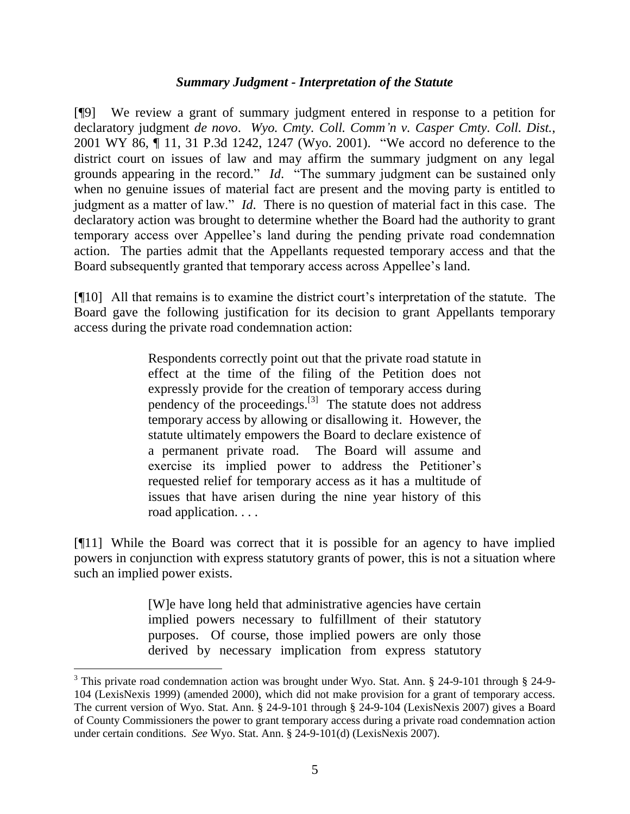#### *Summary Judgment - Interpretation of the Statute*

[¶9] We review a grant of summary judgment entered in response to a petition for declaratory judgment *de novo*. *Wyo. Cmty. Coll. Comm'n v. Casper Cmty. Coll. Dist.*, 2001 WY 86, ¶ 11, 31 P.3d 1242, 1247 (Wyo. 2001). "We accord no deference to the district court on issues of law and may affirm the summary judgment on any legal grounds appearing in the record." *Id*. "The summary judgment can be sustained only when no genuine issues of material fact are present and the moving party is entitled to judgment as a matter of law." *Id*. There is no question of material fact in this case. The declaratory action was brought to determine whether the Board had the authority to grant temporary access over Appellee"s land during the pending private road condemnation action. The parties admit that the Appellants requested temporary access and that the Board subsequently granted that temporary access across Appellee"s land.

[¶10] All that remains is to examine the district court"s interpretation of the statute. The Board gave the following justification for its decision to grant Appellants temporary access during the private road condemnation action:

> Respondents correctly point out that the private road statute in effect at the time of the filing of the Petition does not expressly provide for the creation of temporary access during pendency of the proceedings.<sup>[3]</sup> The statute does not address temporary access by allowing or disallowing it. However, the statute ultimately empowers the Board to declare existence of a permanent private road. The Board will assume and exercise its implied power to address the Petitioner's requested relief for temporary access as it has a multitude of issues that have arisen during the nine year history of this road application. . . .

[¶11] While the Board was correct that it is possible for an agency to have implied powers in conjunction with express statutory grants of power, this is not a situation where such an implied power exists.

> [W]e have long held that administrative agencies have certain implied powers necessary to fulfillment of their statutory purposes. Of course, those implied powers are only those derived by necessary implication from express statutory

 $\overline{a}$ 

<sup>&</sup>lt;sup>3</sup> This private road condemnation action was brought under Wyo. Stat. Ann. § 24-9-101 through § 24-9-104 (LexisNexis 1999) (amended 2000), which did not make provision for a grant of temporary access. The current version of Wyo. Stat. Ann. § 24-9-101 through § 24-9-104 (LexisNexis 2007) gives a Board of County Commissioners the power to grant temporary access during a private road condemnation action under certain conditions. *See* Wyo. Stat. Ann. § 24-9-101(d) (LexisNexis 2007).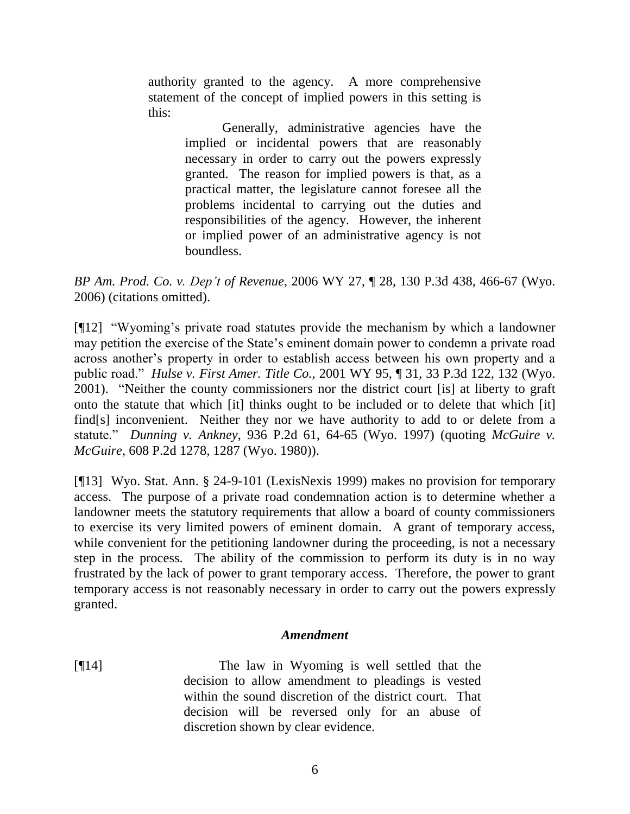authority granted to the agency. A more comprehensive statement of the concept of implied powers in this setting is this:

> Generally, administrative agencies have the implied or incidental powers that are reasonably necessary in order to carry out the powers expressly granted. The reason for implied powers is that, as a practical matter, the legislature cannot foresee all the problems incidental to carrying out the duties and responsibilities of the agency. However, the inherent or implied power of an administrative agency is not boundless.

*BP Am. Prod. Co. v. Dep't of Revenue*, 2006 WY 27, ¶ 28, 130 P.3d 438, 466-67 (Wyo. 2006) (citations omitted).

[¶12] "Wyoming"s private road statutes provide the mechanism by which a landowner may petition the exercise of the State's eminent domain power to condemn a private road across another"s property in order to establish access between his own property and a public road." *Hulse v. First Amer. Title Co.*, 2001 WY 95, ¶ 31, 33 P.3d 122, 132 (Wyo. 2001). "Neither the county commissioners nor the district court [is] at liberty to graft onto the statute that which [it] thinks ought to be included or to delete that which [it] find[s] inconvenient. Neither they nor we have authority to add to or delete from a statute." *Dunning v. Ankney*, 936 P.2d 61, 64-65 (Wyo. 1997) (quoting *McGuire v. McGuire*, 608 P.2d 1278, 1287 (Wyo. 1980)).

[¶13] Wyo. Stat. Ann. § 24-9-101 (LexisNexis 1999) makes no provision for temporary access. The purpose of a private road condemnation action is to determine whether a landowner meets the statutory requirements that allow a board of county commissioners to exercise its very limited powers of eminent domain. A grant of temporary access, while convenient for the petitioning landowner during the proceeding, is not a necessary step in the process. The ability of the commission to perform its duty is in no way frustrated by the lack of power to grant temporary access. Therefore, the power to grant temporary access is not reasonably necessary in order to carry out the powers expressly granted.

## *Amendment*

[¶14] The law in Wyoming is well settled that the decision to allow amendment to pleadings is vested within the sound discretion of the district court. That decision will be reversed only for an abuse of discretion shown by clear evidence.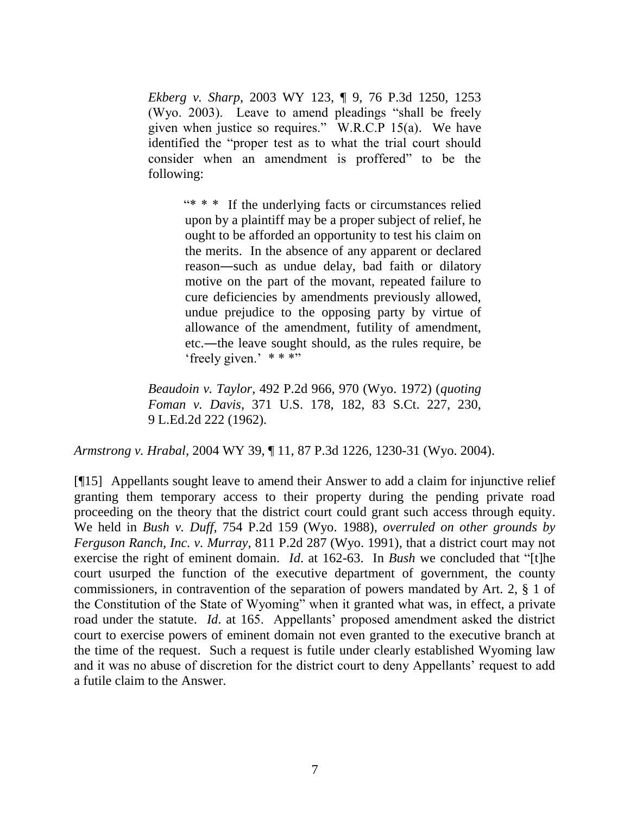*Ekberg v. Sharp*, 2003 WY 123, ¶ 9, 76 P.3d 1250, 1253 (Wyo. 2003). Leave to amend pleadings "shall be freely given when justice so requires." W.R.C.P 15(a). We have identified the "proper test as to what the trial court should consider when an amendment is proffered" to be the following:

> "\* \* \* If the underlying facts or circumstances relied upon by a plaintiff may be a proper subject of relief, he ought to be afforded an opportunity to test his claim on the merits. In the absence of any apparent or declared reason―such as undue delay, bad faith or dilatory motive on the part of the movant, repeated failure to cure deficiencies by amendments previously allowed, undue prejudice to the opposing party by virtue of allowance of the amendment, futility of amendment, etc.―the leave sought should, as the rules require, be 'freely given.'  $***$ "

*Beaudoin v. Taylor*, 492 P.2d 966, 970 (Wyo. 1972) (*quoting Foman v. Davis*, 371 U.S. 178, 182, 83 S.Ct. 227, 230, 9 L.Ed.2d 222 (1962).

*Armstrong v. Hrabal*, 2004 WY 39, ¶ 11, 87 P.3d 1226, 1230-31 (Wyo. 2004).

[¶15] Appellants sought leave to amend their Answer to add a claim for injunctive relief granting them temporary access to their property during the pending private road proceeding on the theory that the district court could grant such access through equity. We held in *Bush v. Duff*, 754 P.2d 159 (Wyo. 1988), *overruled on other grounds by Ferguson Ranch, Inc. v. Murray*, 811 P.2d 287 (Wyo. 1991), that a district court may not exercise the right of eminent domain. *Id*. at 162-63. In *Bush* we concluded that "[t]he court usurped the function of the executive department of government, the county commissioners, in contravention of the separation of powers mandated by Art. 2, § 1 of the Constitution of the State of Wyoming" when it granted what was, in effect, a private road under the statute. *Id*. at 165. Appellants' proposed amendment asked the district court to exercise powers of eminent domain not even granted to the executive branch at the time of the request. Such a request is futile under clearly established Wyoming law and it was no abuse of discretion for the district court to deny Appellants" request to add a futile claim to the Answer.